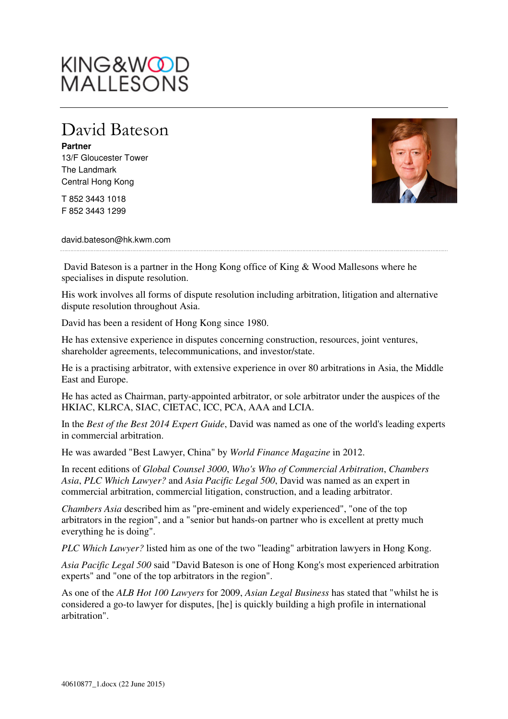# KING&WOOD<br>MALLESONS

### David Bateson

**Partner**  13/F Gloucester Tower The Landmark Central Hong Kong

T 852 3443 1018 F 852 3443 1299



david.bateson@hk.kwm.com

 David Bateson is a partner in the Hong Kong office of King & Wood Mallesons where he specialises in dispute resolution.

His work involves all forms of dispute resolution including arbitration, litigation and alternative dispute resolution throughout Asia.

David has been a resident of Hong Kong since 1980.

He has extensive experience in disputes concerning construction, resources, joint ventures, shareholder agreements, telecommunications, and investor/state.

He is a practising arbitrator, with extensive experience in over 80 arbitrations in Asia, the Middle East and Europe.

He has acted as Chairman, party-appointed arbitrator, or sole arbitrator under the auspices of the HKIAC, KLRCA, SIAC, CIETAC, ICC, PCA, AAA and LCIA.

In the *Best of the Best 2014 Expert Guide*, David was named as one of the world's leading experts in commercial arbitration.

He was awarded "Best Lawyer, China" by *World Finance Magazine* in 2012.

In recent editions of *Global Counsel 3000*, *Who's Who of Commercial Arbitration*, *Chambers Asia*, *PLC Which Lawyer?* and *Asia Pacific Legal 500*, David was named as an expert in commercial arbitration, commercial litigation, construction, and a leading arbitrator.

*Chambers Asia* described him as "pre-eminent and widely experienced", "one of the top arbitrators in the region", and a "senior but hands-on partner who is excellent at pretty much everything he is doing".

*PLC Which Lawyer?* listed him as one of the two "leading" arbitration lawyers in Hong Kong.

*Asia Pacific Legal 500* said "David Bateson is one of Hong Kong's most experienced arbitration experts" and "one of the top arbitrators in the region".

As one of the *ALB Hot 100 Lawyers* for 2009, *Asian Legal Business* has stated that "whilst he is considered a go-to lawyer for disputes, [he] is quickly building a high profile in international arbitration".